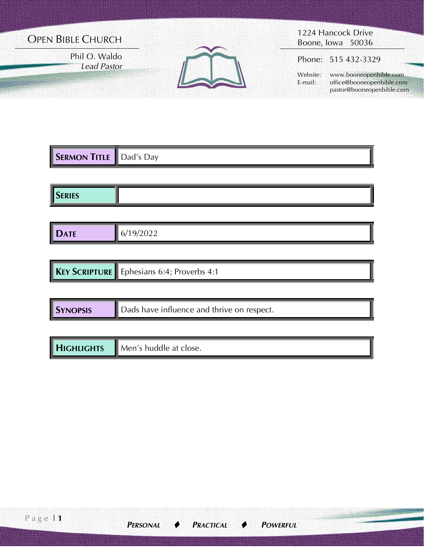# OPEN BIBLE CHURCH

Phil O. Waldo *Lead Pastor*



1224 Hancock Drive Boone, Iowa 50036

Phone: 515 432-3329

 Website: www.booneopenbible.com E-mail: office@booneopenbible.com pastor@booneopenbible.com

| <b>SERMON TITLE</b> Dad's Day |  |
|-------------------------------|--|
|                               |  |
| <b>SERIES</b>                 |  |

| / F<br>-<br>-<br>. |  |
|--------------------|--|
|--------------------|--|

|  |  | <b>KEY SCRIPTURE</b> Ephesians 6:4; Proverbs 4:1 |
|--|--|--------------------------------------------------|
|--|--|--------------------------------------------------|

| <b>SYNOPSIS</b> | Dads have influence and thrive on respect. |
|-----------------|--------------------------------------------|
|-----------------|--------------------------------------------|

| <b>HIGHLIGHTS</b> | ∄ Men's huddle at close. |
|-------------------|--------------------------|
|-------------------|--------------------------|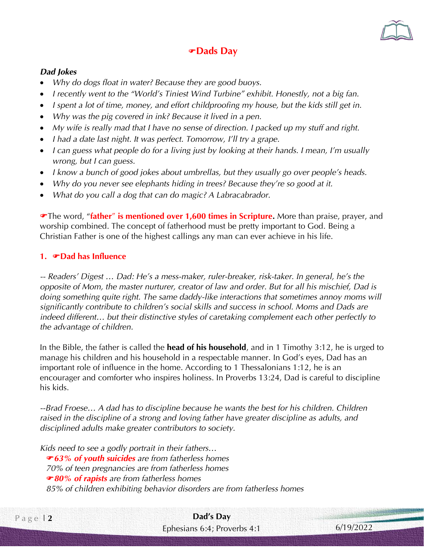

# **Dads Day**

#### *Dad Jokes*

- *Why do dogs float in water? Because they are good buoys.*
- *I recently went to the "World's Tiniest Wind Turbine" exhibit. Honestly, not a big fan.*
- *I spent a lot of time, money, and effort childproofing my house, but the kids still get in.*
- *Why was the pig covered in ink? Because it lived in a pen.*
- *My wife is really mad that I have no sense of direction. I packed up my stuff and right.*
- *I had a date last night. It was perfect. Tomorrow, I'll try a grape.*
- *I can guess what people do for a living just by looking at their hands. I mean, I'm usually wrong, but I can guess.*
- *I know a bunch of good jokes about umbrellas, but they usually go over people's heads.*
- *Why do you never see elephants hiding in trees? Because they're so good at it.*
- *What do you call a dog that can do magic? A Labracabrador.*

The word, "**father**" **is mentioned over 1,600 times in Scripture.** More than praise, prayer, and worship combined. The concept of fatherhood must be pretty important to God. Being a Christian Father is one of the highest callings any man can ever achieve in his life.

### **1.** *<del>©Dad has Influence</del>*

*-- Readers' Digest … Dad: He's a mess-maker, ruler-breaker, risk-taker. In general, he's the opposite of Mom, the master nurturer, creator of law and order. But for all his mischief, Dad is doing something quite right. The same daddy-like interactions that sometimes annoy moms will significantly contribute to children's social skills and success in school. Moms and Dads are indeed different… but their distinctive styles of caretaking complement each other perfectly to the advantage of children.*

In the Bible, the father is called the **head of his household**, and in 1 Timothy 3:12, he is urged to manage his children and his household in a respectable manner. In God's eyes, Dad has an important role of influence in the home. According to 1 Thessalonians 1:12, he is an encourager and comforter who inspires holiness. In Proverbs 13:24, Dad is careful to discipline his kids.

*--Brad Froese… A dad has to discipline because he wants the best for his children. Children raised in the discipline of a strong and loving father have greater discipline as adults, and disciplined adults make greater contributors to society.*

*Kids need to see a godly portrait in their fathers… 63% of youth suicides are from fatherless homes 70% of teen pregnancies are from fatherless homes 80% of rapists are from fatherless homes 85% of children exhibiting behavior disorders are from fatherless homes*

## Ephesians 6:4; Proverbs 4:1 P a g e | **2 Dad's Day**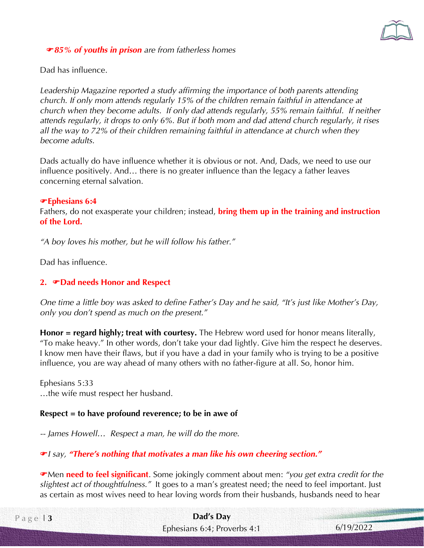

#### *85% of youths in prison are from fatherless homes*

#### Dad has influence.

*Leadership Magazine reported a study affirming the importance of both parents attending church. If only mom attends regularly 15% of the children remain faithful in attendance at church when they become adults. If only dad attends regularly, 55% remain faithful. If neither attends regularly, it drops to only 6%. But if both mom and dad attend church regularly, it rises all the way to 72% of their children remaining faithful in attendance at church when they become adults.*

Dads actually do have influence whether it is obvious or not. And, Dads, we need to use our influence positively. And… there is no greater influence than the legacy a father leaves concerning eternal salvation.

#### **Ephesians 6:4**

Fathers, do not exasperate your children; instead, **bring them up in the training and instruction of the Lord.**

*"A boy loves his mother, but he will follow his father."*

Dad has influence.

#### **2. Dad needs Honor and Respect**

*One time a little boy was asked to define Father's Day and he said, "It's just like Mother's Day, only you don't spend as much on the present."*

**Honor = regard highly; treat with courtesy.** The Hebrew word used for honor means literally, "To make heavy." In other words, don't take your dad lightly. Give him the respect he deserves. I know men have their flaws, but if you have a dad in your family who is trying to be a positive influence, you are way ahead of many others with no father-figure at all. So, honor him.

Ephesians 5:33 …the wife must respect her husband.

#### **Respect = to have profound reverence; to be in awe of**

*-- James Howell… Respect a man, he will do the more.* 

*I say, "There's nothing that motivates a man like his own cheering section."*

Men **need to feel significant**. Some jokingly comment about men: *"you get extra credit for the slightest act of thoughtfulness."* It goes to a man's greatest need; the need to feel important. Just as certain as most wives need to hear loving words from their husbands, husbands need to hear

| Page $3$ | Dad's Day                   |           |
|----------|-----------------------------|-----------|
|          | Ephesians 6:4; Proverbs 4:1 | 6/19/2022 |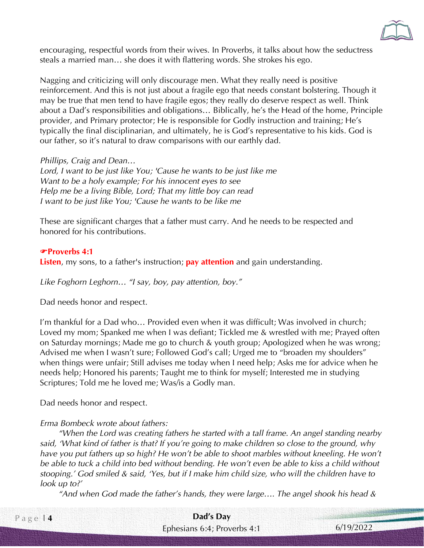

encouraging, respectful words from their wives. In Proverbs, it talks about how the seductress steals a married man… she does it with flattering words. She strokes his ego.

Nagging and criticizing will only discourage men. What they really need is positive reinforcement. And this is not just about a fragile ego that needs constant bolstering. Though it may be true that men tend to have fragile egos; they really do deserve respect as well. Think about a Dad's responsibilities and obligations… Biblically, he's the Head of the home, Principle provider, and Primary protector; He is responsible for Godly instruction and training; He's typically the final disciplinarian, and ultimately, he is God's representative to his kids. God is our father, so it's natural to draw comparisons with our earthly dad.

#### *Phillips, Craig and Dean…*

*Lord, I want to be just like You; 'Cause he wants to be just like me Want to be a holy example; For his innocent eyes to see Help me be a living Bible, Lord; That my little boy can read I want to be just like You; 'Cause he wants to be like me*

These are significant charges that a father must carry. And he needs to be respected and honored for his contributions.

#### **Proverbs 4:1**

**Listen**, my sons, to a father's instruction; **pay attention** and gain understanding.

*Like Foghorn Leghorn… "I say, boy, pay attention, boy."*

Dad needs honor and respect.

I'm thankful for a Dad who… Provided even when it was difficult; Was involved in church; Loved my mom; Spanked me when I was defiant; Tickled me & wrestled with me; Prayed often on Saturday mornings; Made me go to church & youth group; Apologized when he was wrong; Advised me when I wasn't sure; Followed God's call; Urged me to "broaden my shoulders" when things were unfair; Still advises me today when I need help; Asks me for advice when he needs help; Honored his parents; Taught me to think for myself; Interested me in studying Scriptures; Told me he loved me; Was/is a Godly man.

Dad needs honor and respect.

#### *Erma Bombeck wrote about fathers:*

 *"When the Lord was creating fathers he started with a tall frame. An angel standing nearby said, 'What kind of father is that? If you're going to make children so close to the ground, why*  have you put fathers up so high? He won't be able to shoot marbles without kneeling. He won't *be able to tuck a child into bed without bending. He won't even be able to kiss a child without stooping.' God smiled & said, 'Yes, but if I make him child size, who will the children have to look up to?'* 

 *"And when God made the father's hands, they were large…. The angel shook his head &* 

| Page $ 4 $ | Dad's Day                   |           |
|------------|-----------------------------|-----------|
|            | Ephesians 6:4; Proverbs 4:1 | 6/19/2022 |
|            |                             |           |